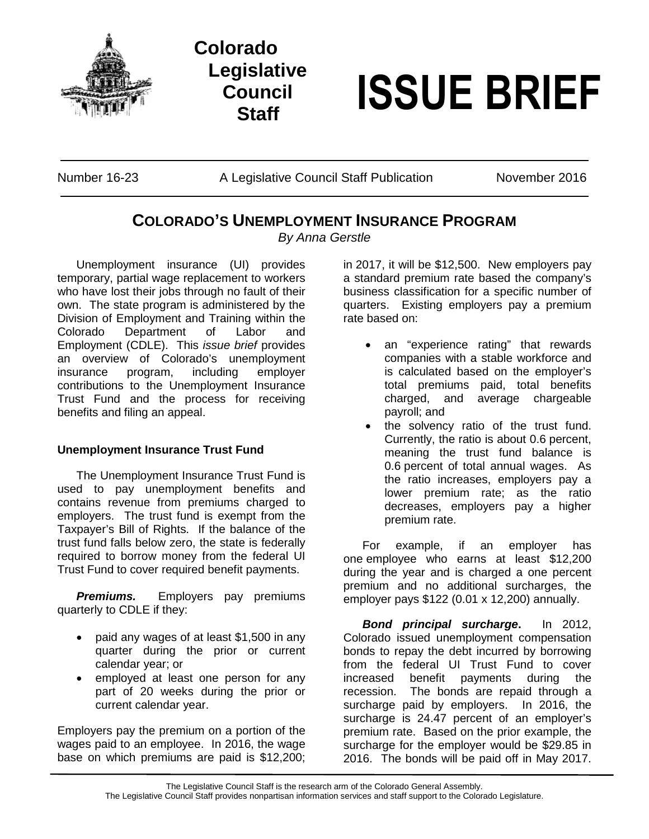

## **Colorado Legislative Council**



Number 16-23 A Legislative Council Staff Publication November 2016

## **COLORADO'S UNEMPLOYMENT INSURANCE PROGRAM**

*By Anna Gerstle*

Unemployment insurance (UI) provides temporary, partial wage replacement to workers who have lost their jobs through no fault of their own. The state program is administered by the Division of Employment and Training within the Colorado Department of Labor and Employment (CDLE). This *issue brief* provides an overview of Colorado's unemployment insurance program, including employer contributions to the Unemployment Insurance Trust Fund and the process for receiving benefits and filing an appeal.

## **Unemployment Insurance Trust Fund**

The Unemployment Insurance Trust Fund is used to pay unemployment benefits and contains revenue from premiums charged to employers. The trust fund is exempt from the Taxpayer's Bill of Rights. If the balance of the trust fund falls below zero, the state is federally required to borrow money from the federal UI Trust Fund to cover required benefit payments.

*Premiums.* Employers pay premiums quarterly to CDLE if they:

- paid any wages of at least \$1,500 in any quarter during the prior or current calendar year; or
- employed at least one person for any part of 20 weeks during the prior or current calendar year.

Employers pay the premium on a portion of the wages paid to an employee. In 2016, the wage base on which premiums are paid is \$12,200;

in 2017, it will be \$12,500. New employers pay a standard premium rate based the company's business classification for a specific number of quarters. Existing employers pay a premium rate based on:

- an "experience rating" that rewards companies with a stable workforce and is calculated based on the employer's total premiums paid, total benefits charged, and average chargeable payroll; and
- the solvency ratio of the trust fund. Currently, the ratio is about 0.6 percent, meaning the trust fund balance is 0.6 percent of total annual wages. As the ratio increases, employers pay a lower premium rate; as the ratio decreases, employers pay a higher premium rate.

For example, if an employer has one employee who earns at least \$12,200 during the year and is charged a one percent premium and no additional surcharges, the employer pays \$122 (0.01 x 12,200) annually.

*Bond principal surcharge***.** In 2012, Colorado issued unemployment compensation bonds to repay the debt incurred by borrowing from the federal UI Trust Fund to cover increased benefit payments during the recession. The bonds are repaid through a surcharge paid by employers. In 2016, the surcharge is 24.47 percent of an employer's premium rate. Based on the prior example, the surcharge for the employer would be \$29.85 in 2016. The bonds will be paid off in May 2017.